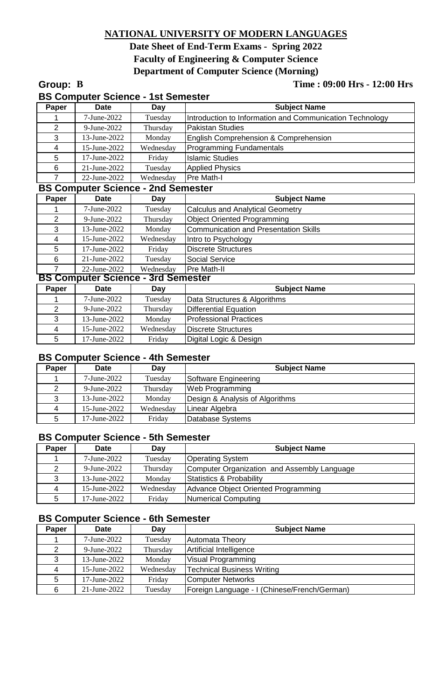# **NATIONAL UNIVERSITY OF MODERN LANGUAGES**

# **Date Sheet of End-Term Exams - Spring 2022 Faculty of Engineering & Computer Science Department of Computer Science (Morning)**

## **Group: B Time : 09:00 Hrs - 12:00 Hrs**

| Paper          | <b>Date</b>                               | Day       | <b>Subject Name</b>                                      |  |  |
|----------------|-------------------------------------------|-----------|----------------------------------------------------------|--|--|
|                | 7-June-2022                               | Tuesday   | Introduction to Information and Communication Technology |  |  |
| $\overline{2}$ | 9-June-2022                               | Thursday  | <b>Pakistan Studies</b>                                  |  |  |
| 3              | 13-June-2022                              | Monday    | English Comprehension & Comprehension                    |  |  |
| 4              | 15-June-2022                              | Wednesday | <b>Programming Fundamentals</b>                          |  |  |
| 5              | 17-June-2022                              | Friday    | <b>Islamic Studies</b>                                   |  |  |
| 6              | 21-June-2022                              | Tuesday   | <b>Applied Physics</b>                                   |  |  |
| $\overline{7}$ | 22-June-2022                              | Wednesday | Pre Math-I                                               |  |  |
|                | <b>BS Computer Science - 2nd Semester</b> |           |                                                          |  |  |
| Paper          | <b>Date</b>                               | Day       | <b>Subject Name</b>                                      |  |  |
| 1              | 7-June-2022                               | Tuesday   | <b>Calculus and Analytical Geometry</b>                  |  |  |
| $\overline{2}$ | 9-June-2022                               | Thursday  | <b>Object Oriented Programming</b>                       |  |  |
| 3              | 13-June-2022                              | Monday    | <b>Communication and Presentation Skills</b>             |  |  |
| $\overline{4}$ | 15-June-2022                              | Wednesday | Intro to Psychology                                      |  |  |
| 5              | 17-June-2022                              | Friday    | <b>Discrete Structures</b>                               |  |  |
| 6              | 21-June-2022                              | Tuesday   | <b>Social Service</b>                                    |  |  |
| $\overline{7}$ | 22-June-2022                              | Wednesday | Pre Math-II                                              |  |  |
|                | <b>BS Computer Science - 3rd Semester</b> |           |                                                          |  |  |
| Paper          | <b>Date</b>                               | Day       | <b>Subject Name</b>                                      |  |  |
| 1              | 7-June-2022                               | Tuesday   | Data Structures & Algorithms                             |  |  |
| $\overline{2}$ | 9-June-2022                               | Thursday  | <b>Differential Equation</b>                             |  |  |
| 3              | 13-June-2022                              | Monday    | <b>Professional Practices</b>                            |  |  |
| 4              | 15-June-2022                              | Wednesday | <b>Discrete Structures</b>                               |  |  |
| 5              | 17-June-2022                              | Friday    | Digital Logic & Design                                   |  |  |

## **BS Computer Science - 4th Semester**

| Paper          | <b>Date</b>  | Day       | <b>Subject Name</b>             |
|----------------|--------------|-----------|---------------------------------|
|                | 7-June-2022  | Tuesday   | Software Engineering            |
|                | 9-June-2022  | Thursday  | <b>Web Programming</b>          |
| 3              | 13-June-2022 | Monday    | Design & Analysis of Algorithms |
| $\overline{4}$ | 15-June-2022 | Wednesday | Linear Algebra                  |
| 5              | 17-June-2022 | Friday    | Database Systems                |

#### **BS Computer Science - 5th Semester**

| Paper | <b>Date</b>  | Day       | <b>Subject Name</b>                         |
|-------|--------------|-----------|---------------------------------------------|
|       | 7-June-2022  | Tuesday   | <b>Operating System</b>                     |
|       | 9-June-2022  | Thursday  | Computer Organization and Assembly Language |
|       | 13-June-2022 | Monday    | Statistics & Probability                    |
| 4     | 15-June-2022 | Wednesday | Advance Object Oriented Programming         |
| 5     | 17-June-2022 | Friday    | Numerical Computing                         |

## **BS Computer Science - 6th Semester**

| Paper | <b>Date</b>  | Day       | <b>Subject Name</b>                          |
|-------|--------------|-----------|----------------------------------------------|
|       | 7-June-2022  | Tuesday   | <b>Automata Theory</b>                       |
| 2     | 9-June-2022  | Thursday  | Artificial Intelligence                      |
| 3     | 13-June-2022 | Monday    | Visual Programming                           |
| 4     | 15-June-2022 | Wednesday | <b>Technical Business Writing</b>            |
| 5     | 17-June-2022 | Friday    | <b>Computer Networks</b>                     |
| 6     | 21-June-2022 | Tuesday   | Foreign Language - I (Chinese/French/German) |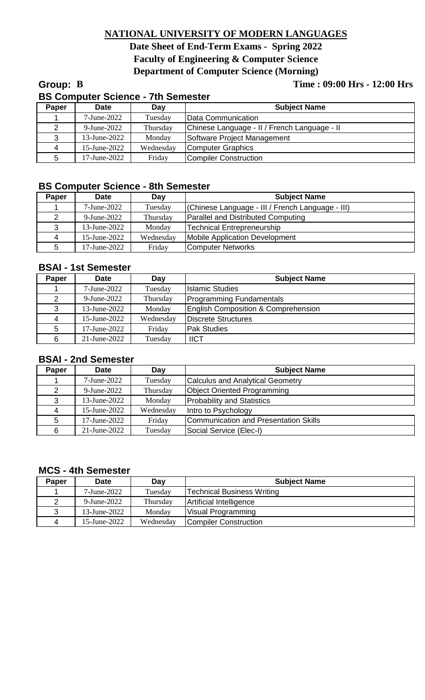# **NATIONAL UNIVERSITY OF MODERN LANGUAGES**

# **Date Sheet of End-Term Exams - Spring 2022 Faculty of Engineering & Computer Science Department of Computer Science (Morning)**

## **Group: B Time : 09:00 Hrs - 12:00 Hrs**

|       | <b>BS Computer Science - 7th Semester</b> |           |                                              |  |  |
|-------|-------------------------------------------|-----------|----------------------------------------------|--|--|
| Paper | <b>Date</b>                               | Day       | <b>Subject Name</b>                          |  |  |
|       | 7-June-2022                               | Tuesday   | Data Communication                           |  |  |
| 2     | 9-June-2022                               | Thursday  | Chinese Language - II / French Language - II |  |  |
| 3     | 13-June-2022                              | Monday    | Software Project Management                  |  |  |
| 4     | 15-June-2022                              | Wednesday | Computer Graphics                            |  |  |
| 5     | 17-June-2022                              | Friday    | <b>Compiler Construction</b>                 |  |  |

## **BS Computer Science - 8th Semester**

| Paper          | <b>Date</b>  | Day       | <b>Subject Name</b>                              |
|----------------|--------------|-----------|--------------------------------------------------|
|                | 7-June-2022  | Tuesday   | (Chinese Language - III / French Language - III) |
| 2              | 9-June-2022  | Thursday  | <b>Parallel and Distributed Computing</b>        |
| 3              | 13-June-2022 | Monday    | <b>Technical Entrepreneurship</b>                |
| $\overline{4}$ | 15-June-2022 | Wednesday | Mobile Application Development                   |
| 5              | 17-June-2022 | Friday    | <b>Computer Networks</b>                         |

## **BSAI - 1st Semester**

| Paper | <b>Date</b>  | Day       | <b>Subject Name</b>                            |
|-------|--------------|-----------|------------------------------------------------|
|       | 7-June-2022  | Tuesday   | <b>Islamic Studies</b>                         |
|       | 9-June-2022  | Thursday  | Programming Fundamentals                       |
| 3     | 13-June-2022 | Monday    | <b>English Composition &amp; Comprehension</b> |
| 4     | 15-June-2022 | Wednesday | Discrete Structures                            |
| 5     | 17-June-2022 | Friday    | <b>Pak Studies</b>                             |
| 6     | 21-June-2022 | Tuesday   | <b>IICT</b>                                    |

## **BSAI - 2nd Semester**

| Paper | <b>Date</b>          | Day       | <b>Subject Name</b>                     |
|-------|----------------------|-----------|-----------------------------------------|
|       | 7-June-2022          | Tuesday   | <b>Calculus and Analytical Geometry</b> |
|       | $9\text{-June-}2022$ | Thursday  | <b>Object Oriented Programming</b>      |
|       | 13-June-2022         | Monday    | <b>Probability and Statistics</b>       |
| 4     | 15-June-2022         | Wednesday | Intro to Psychology                     |
| 5     | 17-June-2022         | Friday    | Communication and Presentation Skills   |
| 6     | $21$ -June-2022      | Tuesday   | Social Service (Elec-I)                 |

## **MCS - 4th Semester**

| Paper | <b>Date</b>  | Day       | <b>Subject Name</b>               |
|-------|--------------|-----------|-----------------------------------|
|       | 7-June-2022  | Tuesday   | <b>Technical Business Writing</b> |
|       | 9-June-2022  | Thursday  | Artificial Intelligence           |
| 3     | 13-June-2022 | Monday    | Visual Programming                |
| Δ     | 15-June-2022 | Wednesday | Compiler Construction             |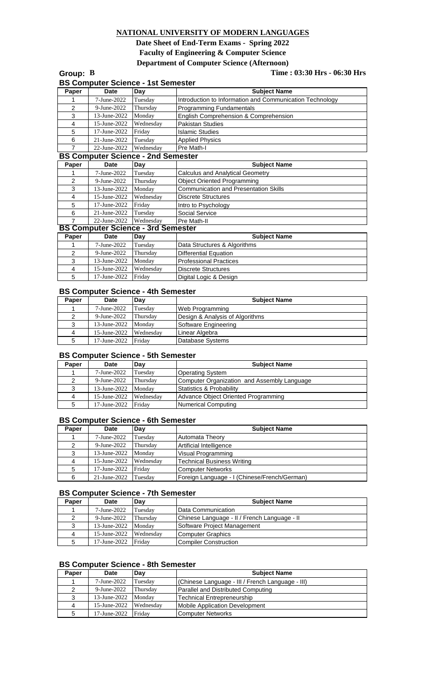#### **NATIONAL UNIVERSITY OF MODERN LANGUAGES**

**Date Sheet of End-Term Exams - Spring 2022 Faculty of Engineering & Computer Science Department of Computer Science (Afternoon)**

| Group: B       |                                           |           | Time: 03:30 Hrs - 06:30 Hrs                              |
|----------------|-------------------------------------------|-----------|----------------------------------------------------------|
|                | <b>BS Computer Science - 1st Semester</b> |           |                                                          |
| Paper          | Date                                      | Day       | <b>Subject Name</b>                                      |
|                | 7-June-2022                               | Tuesday   | Introduction to Information and Communication Technology |
| $\overline{2}$ | 9-June-2022                               | Thursday  | Programming Fundamentals                                 |
| 3              | 13-June-2022                              | Monday    | English Comprehension & Comprehension                    |
| 4              | 15-June-2022                              | Wednesday | <b>Pakistan Studies</b>                                  |
| 5              | 17-June-2022                              | Friday    | <b>Islamic Studies</b>                                   |
| 6              | 21-June-2022                              | Tuesday   | <b>Applied Physics</b>                                   |
| $\overline{7}$ | 22-June-2022                              | Wednesday | Pre Math-I                                               |
|                | <b>BS Computer Science - 2nd Semester</b> |           |                                                          |
| Paper          | <b>Date</b>                               | Dav       | <b>Subject Name</b>                                      |
|                | 7-June-2022                               | Tuesday   | <b>Calculus and Analytical Geometry</b>                  |
| $\overline{2}$ | 9-June-2022                               | Thursday  | <b>Object Oriented Programming</b>                       |
| 3              | 13-June-2022                              | Monday    | <b>Communication and Presentation Skills</b>             |
| 4              | 15-June-2022                              | Wednesday | <b>Discrete Structures</b>                               |
| 5              | 17-June-2022                              | Friday    | Intro to Psychology                                      |
| 6              | 21-June-2022                              | Tuesday   | Social Service                                           |
| $\overline{7}$ | 22-June-2022                              | Wednesday | Pre Math-II                                              |
|                | <b>BS Computer Science - 3rd Semester</b> |           |                                                          |
| Paper          | Date                                      | Day       | <b>Subject Name</b>                                      |
|                | 7-June-2022                               | Tuesday   | Data Structures & Algorithms                             |
| $\overline{2}$ | 9-June-2022                               | Thursday  | <b>Differential Equation</b>                             |
| 3              | 13-June-2022                              | Monday    | <b>Professional Practices</b>                            |
| 4              | 15-June-2022                              | Wednesday | <b>Discrete Structures</b>                               |
| 5              | 17-June-2022                              | Friday    | Digital Logic & Design                                   |

#### **BS Computer Science - 4th Semester**

| Paper | Date         | Dav       | <b>Subject Name</b>             |
|-------|--------------|-----------|---------------------------------|
|       | 7-June-2022  | Tuesdav   | Web Programming                 |
|       | 9-June-2022  | Thursday  | Design & Analysis of Algorithms |
| 3     | 13-June-2022 | Monday    | Software Engineering            |
| 4     | 15-June-2022 | Wednesdav | Linear Algebra                  |
| 5     | 17-June-2022 | Fridav    | Database Systems                |

#### **BS Computer Science - 5th Semester**

| Paper | <b>Date</b>         | Dav       | <b>Subject Name</b>                         |
|-------|---------------------|-----------|---------------------------------------------|
|       | 7-June-2022         | Tuesdav   | Operating System                            |
|       | 9-June-2022         | Thursday  | Computer Organization and Assembly Language |
|       | 13-June-2022 Monday |           | Statistics & Probability                    |
| 4     | 15-June-2022        | Wednesday | Advance Object Oriented Programming         |
| 5     | 17-June-2022        | Fridav    | Numerical Computing                         |

#### **BS Computer Science - 6th Semester**

| Paper | Date         | Day       | <b>Subject Name</b>                          |
|-------|--------------|-----------|----------------------------------------------|
|       | 7-June-2022  | Tuesday   | <b>Automata Theory</b>                       |
|       | 9-June-2022  | Thursday  | Artificial Intelligence                      |
| 3     | 13-June-2022 | Monday    | Visual Programming                           |
| 4     | 15-June-2022 | Wednesday | <b>Technical Business Writing</b>            |
| 5     | 17-June-2022 | Fridav    | Computer Networks                            |
| 6     | 21-June-2022 | Tuesday   | Foreign Language - I (Chinese/French/German) |

#### **BS Computer Science - 7th Semester**

| Paper | Date                | Dav       | <b>Subject Name</b>                          |
|-------|---------------------|-----------|----------------------------------------------|
|       | 7-June-2022         | Tuesdav   | Data Communication                           |
|       | 9-June-2022         | Thursday  | Chinese Language - II / French Language - II |
|       | 13-June-2022 Monday |           | Software Project Management                  |
| 4     | 15-June-2022        | Wednesday | Computer Graphics                            |
| 5     | 17-June-2022 Friday |           | Compiler Construction                        |

#### **BS Computer Science - 8th Semester**

| Paper | Date                | Dav       | <b>Subject Name</b>                              |
|-------|---------------------|-----------|--------------------------------------------------|
|       | 7-June-2022         | Tuesdav   | (Chinese Language - III / French Language - III) |
|       | 9-June-2022         | Thursday  | <b>IParallel and Distributed Computing</b>       |
|       | 13-June-2022        | Monday    | Technical Entrepreneurship                       |
| 4     | 15-June-2022        | Wednesday | <b>IMobile Application Development</b>           |
|       | 17-June-2022 Friday |           | <b>IComputer Networks</b>                        |